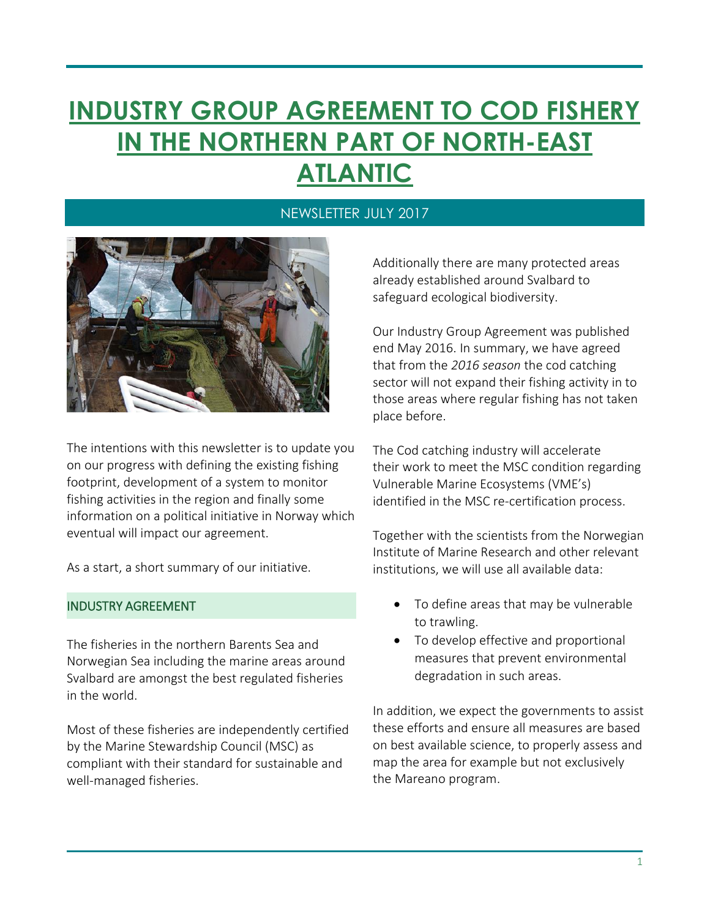# **INDUSTRY GROUP AGREEMENT TO COD FISHERY IN THE NORTHERN PART OF NORTH-EAST ATLANTIC**

#### NEWSLETTER JULY 2017



The intentions with this newsletter is to update you on our progress with defining the existing fishing footprint, development of a system to monitor fishing activities in the region and finally some information on a political initiative in Norway which eventual will impact our agreement.

As a start, a short summary of our initiative.

#### INDUSTRY AGREEMENT

The fisheries in the northern Barents Sea and Norwegian Sea including the marine areas around Svalbard are amongst the best regulated fisheries in the world.

Most of these fisheries are independently certified by the Marine Stewardship Council (MSC) as compliant with their standard for sustainable and well-managed fisheries.

Additionally there are many protected areas already established around Svalbard to safeguard ecological biodiversity.

Our Industry Group Agreement was published end May 2016. In summary, we have agreed that from the *2016 season* the cod catching sector will not expand their fishing activity in to those areas where regular fishing has not taken place before.

The Cod catching industry will accelerate their work to meet the MSC condition regarding Vulnerable Marine Ecosystems (VME's) identified in the MSC re-certification process.

Together with the scientists from the Norwegian Institute of Marine Research and other relevant institutions, we will use all available data:

- To define areas that may be vulnerable to trawling.
- To develop effective and proportional measures that prevent environmental degradation in such areas.

In addition, we expect the governments to assist these efforts and ensure all measures are based on best available science, to properly assess and map the area for example but not exclusively the Mareano program.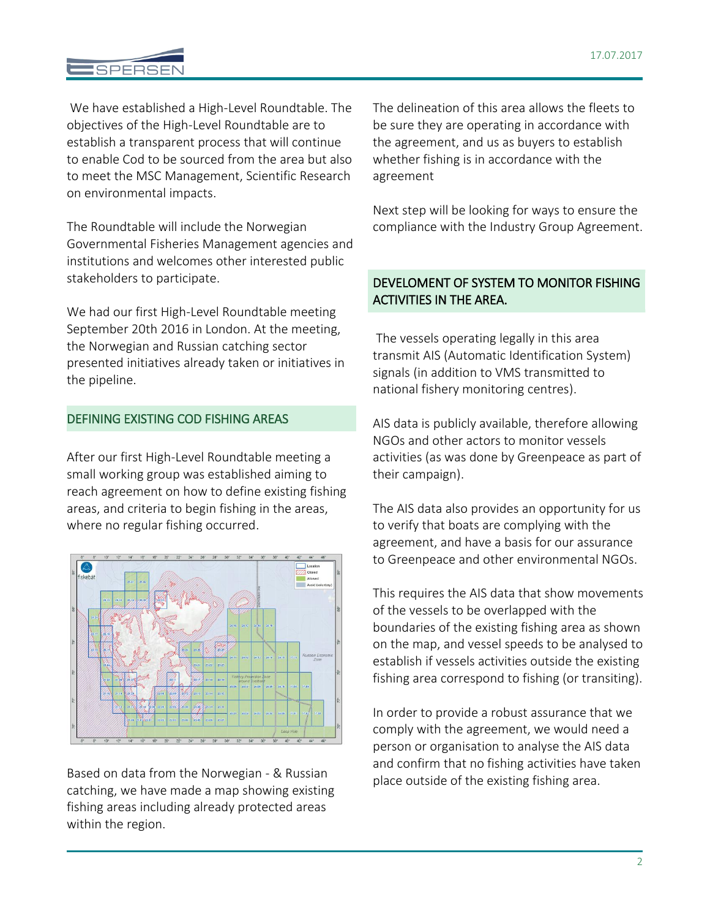### **SPERSE**

We have established a High-Level Roundtable. The objectives of the High-Level Roundtable are to establish a transparent process that will continue to enable Cod to be sourced from the area but also to meet the MSC Management, Scientific Research on environmental impacts.

The Roundtable will include the Norwegian Governmental Fisheries Management agencies and institutions and welcomes other interested public stakeholders to participate.

We had our first High-Level Roundtable meeting September 20th 2016 in London. At the meeting, the Norwegian and Russian catching sector presented initiatives already taken or initiatives in the pipeline.

#### DEFINING EXISTING COD FISHING AREAS

After our first High-Level Roundtable meeting a small working group was established aiming to reach agreement on how to define existing fishing areas, and criteria to begin fishing in the areas, where no regular fishing occurred.



Based on data from the Norwegian - & Russian catching, we have made a map showing existing fishing areas including already protected areas within the region.

The delineation of this area allows the fleets to be sure they are operating in accordance with the agreement, and us as buyers to establish whether fishing is in accordance with the agreement

Next step will be looking for ways to ensure the compliance with the Industry Group Agreement.

#### DEVELOMENT OF SYSTEM TO MONITOR FISHING ACTIVITIES IN THE AREA.

The vessels operating legally in this area transmit AIS (Automatic Identification System) signals (in addition to VMS transmitted to national fishery monitoring centres).

AIS data is publicly available, therefore allowing NGOs and other actors to monitor vessels activities (as was done by Greenpeace as part of their campaign).

The AIS data also provides an opportunity for us to verify that boats are complying with the agreement, and have a basis for our assurance to Greenpeace and other environmental NGOs.

This requires the AIS data that show movements of the vessels to be overlapped with the boundaries of the existing fishing area as shown on the map, and vessel speeds to be analysed to establish if vessels activities outside the existing fishing area correspond to fishing (or transiting).

In order to provide a robust assurance that we comply with the agreement, we would need a person or organisation to analyse the AIS data and confirm that no fishing activities have taken place outside of the existing fishing area.